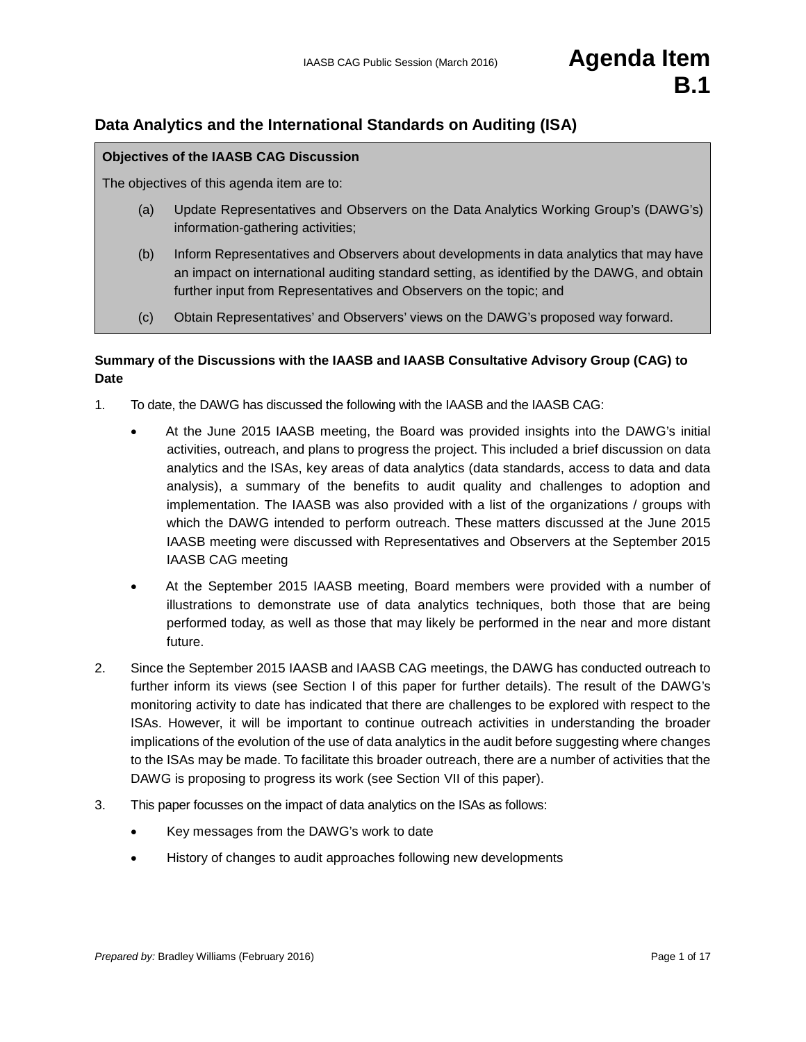# **Data Analytics and the International Standards on Auditing (ISA)**

#### **Objectives of the IAASB CAG Discussion**

The objectives of this agenda item are to:

- (a) Update Representatives and Observers on the Data Analytics Working Group's (DAWG's) information-gathering activities;
- (b) Inform Representatives and Observers about developments in data analytics that may have an impact on international auditing standard setting, as identified by the DAWG, and obtain further input from Representatives and Observers on the topic; and
- (c) Obtain Representatives' and Observers' views on the DAWG's proposed way forward.

## **Summary of the Discussions with the IAASB and IAASB Consultative Advisory Group (CAG) to Date**

- 1. To date, the DAWG has discussed the following with the IAASB and the IAASB CAG:
	- At the June 2015 IAASB meeting, the Board was provided insights into the DAWG's initial activities, outreach, and plans to progress the project. This included a brief discussion on data analytics and the ISAs, key areas of data analytics (data standards, access to data and data analysis), a summary of the benefits to audit quality and challenges to adoption and implementation. The IAASB was also provided with a list of the organizations / groups with which the DAWG intended to perform outreach. These matters discussed at the June 2015 IAASB meeting were discussed with Representatives and Observers at the September 2015 IAASB CAG meeting
	- At the September 2015 IAASB meeting, Board members were provided with a number of illustrations to demonstrate use of data analytics techniques, both those that are being performed today, as well as those that may likely be performed in the near and more distant future.
- 2. Since the September 2015 IAASB and IAASB CAG meetings, the DAWG has conducted outreach to further inform its views (see Section I of this paper for further details). The result of the DAWG's monitoring activity to date has indicated that there are challenges to be explored with respect to the ISAs. However, it will be important to continue outreach activities in understanding the broader implications of the evolution of the use of data analytics in the audit before suggesting where changes to the ISAs may be made. To facilitate this broader outreach, there are a number of activities that the DAWG is proposing to progress its work (see Section VII of this paper).
- 3. This paper focusses on the impact of data analytics on the ISAs as follows:
	- Key messages from the DAWG's work to date
	- History of changes to audit approaches following new developments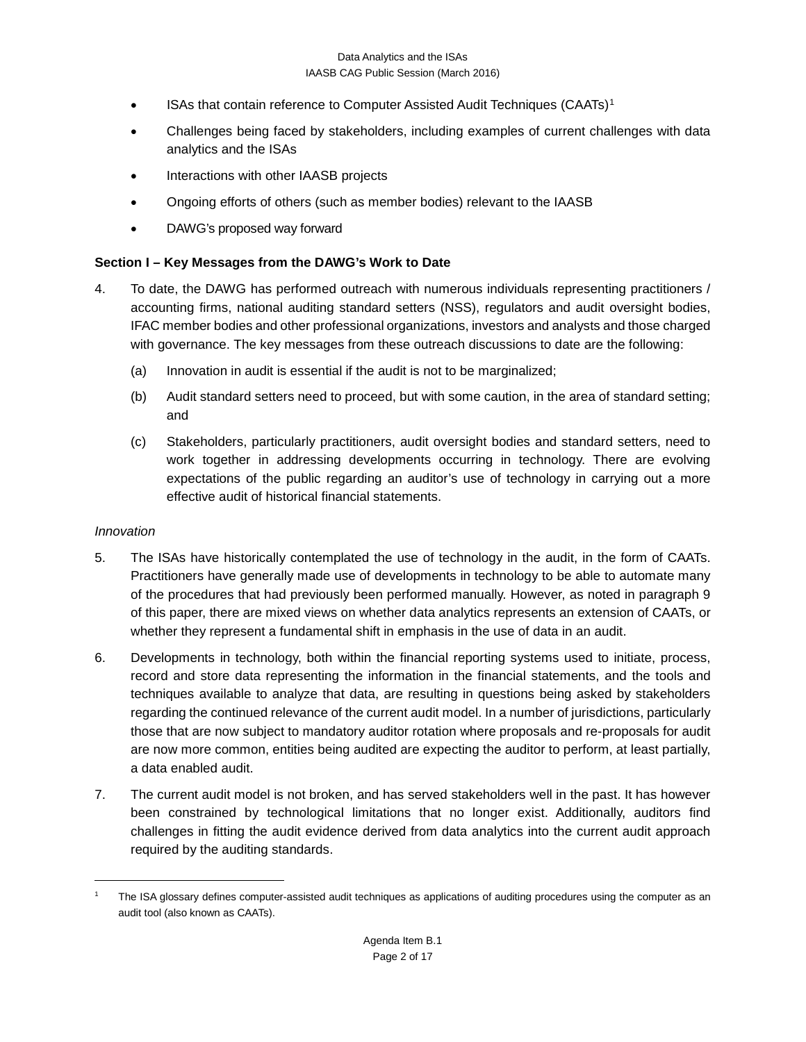- ISAs that contain reference to Computer Assisted Audit Techniques (CAATs)[1](#page-1-0)
- Challenges being faced by stakeholders, including examples of current challenges with data analytics and the ISAs
- Interactions with other IAASB projects
- Ongoing efforts of others (such as member bodies) relevant to the IAASB
- DAWG's proposed way forward

### **Section I – Key Messages from the DAWG's Work to Date**

- 4. To date, the DAWG has performed outreach with numerous individuals representing practitioners / accounting firms, national auditing standard setters (NSS), regulators and audit oversight bodies, IFAC member bodies and other professional organizations, investors and analysts and those charged with governance. The key messages from these outreach discussions to date are the following:
	- (a) Innovation in audit is essential if the audit is not to be marginalized;
	- (b) Audit standard setters need to proceed, but with some caution, in the area of standard setting; and
	- (c) Stakeholders, particularly practitioners, audit oversight bodies and standard setters, need to work together in addressing developments occurring in technology. There are evolving expectations of the public regarding an auditor's use of technology in carrying out a more effective audit of historical financial statements.

### *Innovation*

- 5. The ISAs have historically contemplated the use of technology in the audit, in the form of CAATs. Practitioners have generally made use of developments in technology to be able to automate many of the procedures that had previously been performed manually. However, as noted in paragraph 9 of this paper, there are mixed views on whether data analytics represents an extension of CAATs, or whether they represent a fundamental shift in emphasis in the use of data in an audit.
- 6. Developments in technology, both within the financial reporting systems used to initiate, process, record and store data representing the information in the financial statements, and the tools and techniques available to analyze that data, are resulting in questions being asked by stakeholders regarding the continued relevance of the current audit model. In a number of jurisdictions, particularly those that are now subject to mandatory auditor rotation where proposals and re-proposals for audit are now more common, entities being audited are expecting the auditor to perform, at least partially, a data enabled audit.
- 7. The current audit model is not broken, and has served stakeholders well in the past. It has however been constrained by technological limitations that no longer exist. Additionally, auditors find challenges in fitting the audit evidence derived from data analytics into the current audit approach required by the auditing standards.

<span id="page-1-0"></span>The ISA glossary defines computer-assisted audit techniques as applications of auditing procedures using the computer as an audit tool (also known as CAATs).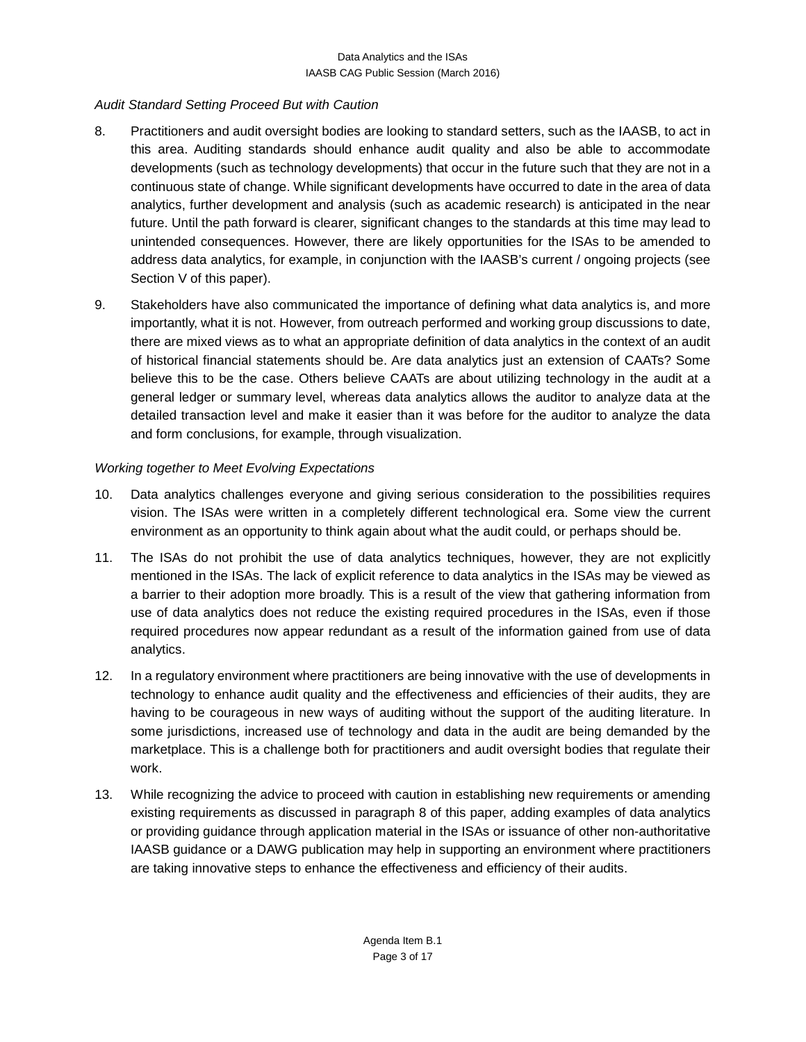## *Audit Standard Setting Proceed But with Caution*

- 8. Practitioners and audit oversight bodies are looking to standard setters, such as the IAASB, to act in this area. Auditing standards should enhance audit quality and also be able to accommodate developments (such as technology developments) that occur in the future such that they are not in a continuous state of change. While significant developments have occurred to date in the area of data analytics, further development and analysis (such as academic research) is anticipated in the near future. Until the path forward is clearer, significant changes to the standards at this time may lead to unintended consequences. However, there are likely opportunities for the ISAs to be amended to address data analytics, for example, in conjunction with the IAASB's current / ongoing projects (see Section V of this paper).
- 9. Stakeholders have also communicated the importance of defining what data analytics is, and more importantly, what it is not. However, from outreach performed and working group discussions to date, there are mixed views as to what an appropriate definition of data analytics in the context of an audit of historical financial statements should be. Are data analytics just an extension of CAATs? Some believe this to be the case. Others believe CAATs are about utilizing technology in the audit at a general ledger or summary level, whereas data analytics allows the auditor to analyze data at the detailed transaction level and make it easier than it was before for the auditor to analyze the data and form conclusions, for example, through visualization.

# *Working together to Meet Evolving Expectations*

- 10. Data analytics challenges everyone and giving serious consideration to the possibilities requires vision. The ISAs were written in a completely different technological era. Some view the current environment as an opportunity to think again about what the audit could, or perhaps should be.
- 11. The ISAs do not prohibit the use of data analytics techniques, however, they are not explicitly mentioned in the ISAs. The lack of explicit reference to data analytics in the ISAs may be viewed as a barrier to their adoption more broadly. This is a result of the view that gathering information from use of data analytics does not reduce the existing required procedures in the ISAs, even if those required procedures now appear redundant as a result of the information gained from use of data analytics.
- 12. In a regulatory environment where practitioners are being innovative with the use of developments in technology to enhance audit quality and the effectiveness and efficiencies of their audits, they are having to be courageous in new ways of auditing without the support of the auditing literature. In some jurisdictions, increased use of technology and data in the audit are being demanded by the marketplace. This is a challenge both for practitioners and audit oversight bodies that regulate their work.
- 13. While recognizing the advice to proceed with caution in establishing new requirements or amending existing requirements as discussed in paragraph 8 of this paper, adding examples of data analytics or providing guidance through application material in the ISAs or issuance of other non-authoritative IAASB guidance or a DAWG publication may help in supporting an environment where practitioners are taking innovative steps to enhance the effectiveness and efficiency of their audits.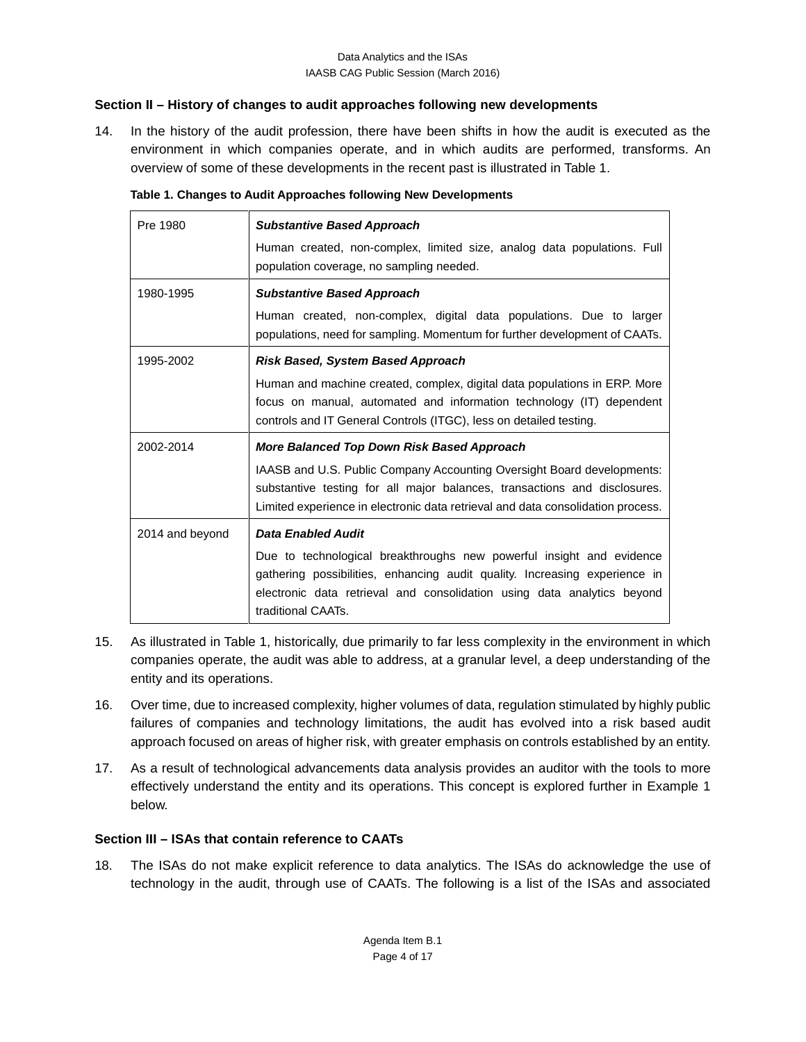## **Section II – History of changes to audit approaches following new developments**

14. In the history of the audit profession, there have been shifts in how the audit is executed as the environment in which companies operate, and in which audits are performed, transforms. An overview of some of these developments in the recent past is illustrated in Table 1.

| Pre 1980        | <b>Substantive Based Approach</b>                                                                                                                                                                                                                   |  |  |  |  |  |  |  |  |
|-----------------|-----------------------------------------------------------------------------------------------------------------------------------------------------------------------------------------------------------------------------------------------------|--|--|--|--|--|--|--|--|
|                 | Human created, non-complex, limited size, analog data populations. Full<br>population coverage, no sampling needed.                                                                                                                                 |  |  |  |  |  |  |  |  |
|                 |                                                                                                                                                                                                                                                     |  |  |  |  |  |  |  |  |
| 1980-1995       | <b>Substantive Based Approach</b>                                                                                                                                                                                                                   |  |  |  |  |  |  |  |  |
|                 | Human created, non-complex, digital data populations. Due to larger<br>populations, need for sampling. Momentum for further development of CAATs.                                                                                                   |  |  |  |  |  |  |  |  |
| 1995-2002       | Risk Based, System Based Approach                                                                                                                                                                                                                   |  |  |  |  |  |  |  |  |
|                 | Human and machine created, complex, digital data populations in ERP. More<br>focus on manual, automated and information technology (IT) dependent<br>controls and IT General Controls (ITGC), less on detailed testing.                             |  |  |  |  |  |  |  |  |
| 2002-2014       | <b>More Balanced Top Down Risk Based Approach</b>                                                                                                                                                                                                   |  |  |  |  |  |  |  |  |
|                 | IAASB and U.S. Public Company Accounting Oversight Board developments:<br>substantive testing for all major balances, transactions and disclosures.<br>Limited experience in electronic data retrieval and data consolidation process.              |  |  |  |  |  |  |  |  |
| 2014 and beyond | Data Enabled Audit                                                                                                                                                                                                                                  |  |  |  |  |  |  |  |  |
|                 | Due to technological breakthroughs new powerful insight and evidence<br>gathering possibilities, enhancing audit quality. Increasing experience in<br>electronic data retrieval and consolidation using data analytics beyond<br>traditional CAATs. |  |  |  |  |  |  |  |  |

| Table 1. Changes to Audit Approaches following New Developments |  |
|-----------------------------------------------------------------|--|
|-----------------------------------------------------------------|--|

- 15. As illustrated in Table 1, historically, due primarily to far less complexity in the environment in which companies operate, the audit was able to address, at a granular level, a deep understanding of the entity and its operations.
- 16. Over time, due to increased complexity, higher volumes of data, regulation stimulated by highly public failures of companies and technology limitations, the audit has evolved into a risk based audit approach focused on areas of higher risk, with greater emphasis on controls established by an entity.
- 17. As a result of technological advancements data analysis provides an auditor with the tools to more effectively understand the entity and its operations. This concept is explored further in Example 1 below.

## **Section III – ISAs that contain reference to CAATs**

18. The ISAs do not make explicit reference to data analytics. The ISAs do acknowledge the use of technology in the audit, through use of CAATs. The following is a list of the ISAs and associated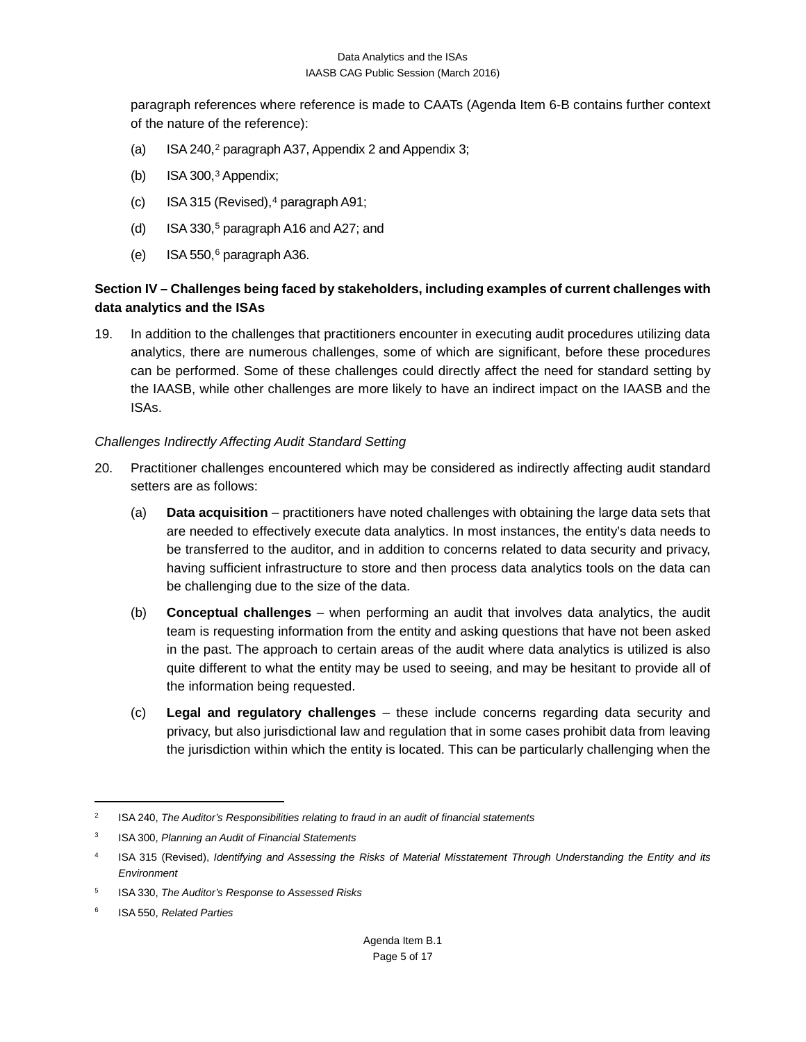paragraph references where reference is made to CAATs (Agenda Item 6-B contains further context of the nature of the reference):

- (a) ISA 240,<sup>2</sup> paragraph A37, Appendix 2 and Appendix 3;
- (b) ISA 300, $3$  Appendix;
- (c) ISA 315 (Revised), $4$  paragraph A91;
- (d) ISA 330,<sup>5</sup> paragraph A16 and A27; and
- (e) ISA 550, $6$  paragraph A36.

# **Section IV – Challenges being faced by stakeholders, including examples of current challenges with data analytics and the ISAs**

19. In addition to the challenges that practitioners encounter in executing audit procedures utilizing data analytics, there are numerous challenges, some of which are significant, before these procedures can be performed. Some of these challenges could directly affect the need for standard setting by the IAASB, while other challenges are more likely to have an indirect impact on the IAASB and the ISAs.

### *Challenges Indirectly Affecting Audit Standard Setting*

- 20. Practitioner challenges encountered which may be considered as indirectly affecting audit standard setters are as follows:
	- (a) **Data acquisition** practitioners have noted challenges with obtaining the large data sets that are needed to effectively execute data analytics. In most instances, the entity's data needs to be transferred to the auditor, and in addition to concerns related to data security and privacy, having sufficient infrastructure to store and then process data analytics tools on the data can be challenging due to the size of the data.
	- (b) **Conceptual challenges** when performing an audit that involves data analytics, the audit team is requesting information from the entity and asking questions that have not been asked in the past. The approach to certain areas of the audit where data analytics is utilized is also quite different to what the entity may be used to seeing, and may be hesitant to provide all of the information being requested.
	- (c) **Legal and regulatory challenges** these include concerns regarding data security and privacy, but also jurisdictional law and regulation that in some cases prohibit data from leaving the jurisdiction within which the entity is located. This can be particularly challenging when the

<span id="page-4-0"></span><sup>2</sup> ISA 240, *The Auditor's Responsibilities relating to fraud in an audit of financial statements*

<span id="page-4-1"></span><sup>3</sup> ISA 300, *Planning an Audit of Financial Statements*

<span id="page-4-2"></span><sup>4</sup> ISA 315 (Revised), *Identifying and Assessing the Risks of Material Misstatement Through Understanding the Entity and its Environment*

<span id="page-4-3"></span><sup>5</sup> ISA 330, *The Auditor's Response to Assessed Risks*

<span id="page-4-4"></span><sup>6</sup> ISA 550, *Related Parties*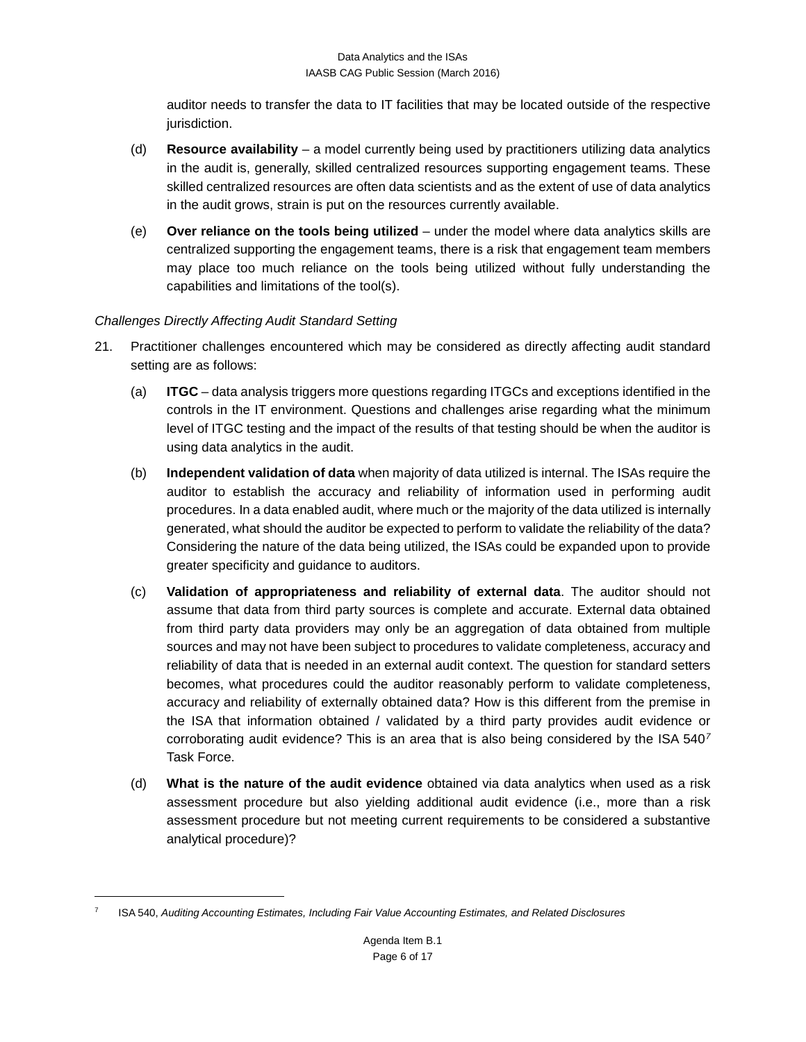auditor needs to transfer the data to IT facilities that may be located outside of the respective jurisdiction.

- (d) **Resource availability** a model currently being used by practitioners utilizing data analytics in the audit is, generally, skilled centralized resources supporting engagement teams. These skilled centralized resources are often data scientists and as the extent of use of data analytics in the audit grows, strain is put on the resources currently available.
- (e) **Over reliance on the tools being utilized** under the model where data analytics skills are centralized supporting the engagement teams, there is a risk that engagement team members may place too much reliance on the tools being utilized without fully understanding the capabilities and limitations of the tool(s).

## *Challenges Directly Affecting Audit Standard Setting*

- 21. Practitioner challenges encountered which may be considered as directly affecting audit standard setting are as follows:
	- (a) **ITGC** data analysis triggers more questions regarding ITGCs and exceptions identified in the controls in the IT environment. Questions and challenges arise regarding what the minimum level of ITGC testing and the impact of the results of that testing should be when the auditor is using data analytics in the audit.
	- (b) **Independent validation of data** when majority of data utilized is internal. The ISAs require the auditor to establish the accuracy and reliability of information used in performing audit procedures. In a data enabled audit, where much or the majority of the data utilized is internally generated, what should the auditor be expected to perform to validate the reliability of the data? Considering the nature of the data being utilized, the ISAs could be expanded upon to provide greater specificity and guidance to auditors.
	- (c) **Validation of appropriateness and reliability of external data**. The auditor should not assume that data from third party sources is complete and accurate. External data obtained from third party data providers may only be an aggregation of data obtained from multiple sources and may not have been subject to procedures to validate completeness, accuracy and reliability of data that is needed in an external audit context. The question for standard setters becomes, what procedures could the auditor reasonably perform to validate completeness, accuracy and reliability of externally obtained data? How is this different from the premise in the ISA that information obtained / validated by a third party provides audit evidence or corroborating audit evidence? This is an area that is also being considered by the ISA 540*[7](#page-5-0)* Task Force.
	- (d) **What is the nature of the audit evidence** obtained via data analytics when used as a risk assessment procedure but also yielding additional audit evidence (i.e., more than a risk assessment procedure but not meeting current requirements to be considered a substantive analytical procedure)?

<span id="page-5-0"></span><sup>7</sup> ISA 540, *Auditing Accounting Estimates, Including Fair Value Accounting Estimates, and Related Disclosures*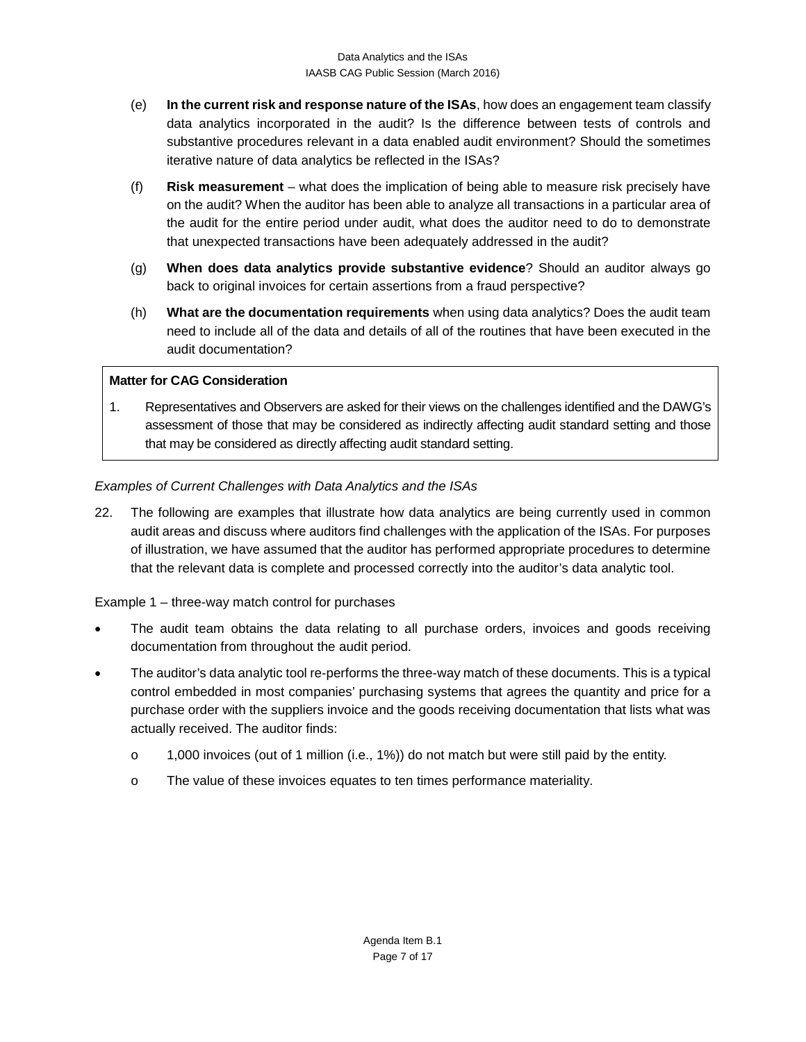- (e) **In the current risk and response nature of the ISAs**, how does an engagement team classify data analytics incorporated in the audit? Is the difference between tests of controls and substantive procedures relevant in a data enabled audit environment? Should the sometimes iterative nature of data analytics be reflected in the ISAs?
- (f) **Risk measurement** what does the implication of being able to measure risk precisely have on the audit? When the auditor has been able to analyze all transactions in a particular area of the audit for the entire period under audit, what does the auditor need to do to demonstrate that unexpected transactions have been adequately addressed in the audit?
- (g) **When does data analytics provide substantive evidence**? Should an auditor always go back to original invoices for certain assertions from a fraud perspective?
- (h) **What are the documentation requirements** when using data analytics? Does the audit team need to include all of the data and details of all of the routines that have been executed in the audit documentation?

## **Matter for CAG Consideration**

1. Representatives and Observers are asked for their views on the challenges identified and the DAWG's assessment of those that may be considered as indirectly affecting audit standard setting and those that may be considered as directly affecting audit standard setting.

## *Examples of Current Challenges with Data Analytics and the ISAs*

22. The following are examples that illustrate how data analytics are being currently used in common audit areas and discuss where auditors find challenges with the application of the ISAs. For purposes of illustration, we have assumed that the auditor has performed appropriate procedures to determine that the relevant data is complete and processed correctly into the auditor's data analytic tool.

### Example 1 – three-way match control for purchases

- The audit team obtains the data relating to all purchase orders, invoices and goods receiving documentation from throughout the audit period.
- The auditor's data analytic tool re-performs the three-way match of these documents. This is a typical control embedded in most companies' purchasing systems that agrees the quantity and price for a purchase order with the suppliers invoice and the goods receiving documentation that lists what was actually received. The auditor finds:
	- o 1,000 invoices (out of 1 million (i.e., 1%)) do not match but were still paid by the entity.
	- o The value of these invoices equates to ten times performance materiality.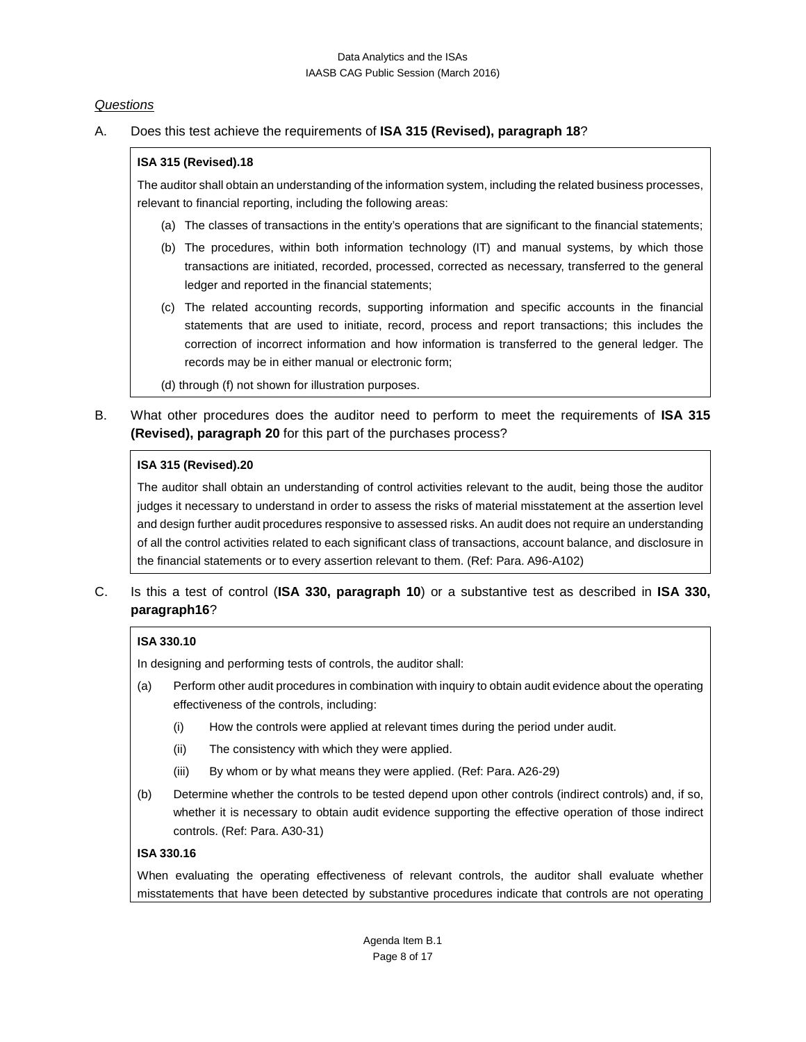### *Questions*

### A. Does this test achieve the requirements of **ISA 315 (Revised), paragraph 18**?

### **ISA 315 (Revised).18**

The auditor shall obtain an understanding of the information system, including the related business processes, relevant to financial reporting, including the following areas:

- (a) The classes of transactions in the entity's operations that are significant to the financial statements;
- (b) The procedures, within both information technology (IT) and manual systems, by which those transactions are initiated, recorded, processed, corrected as necessary, transferred to the general ledger and reported in the financial statements;
- (c) The related accounting records, supporting information and specific accounts in the financial statements that are used to initiate, record, process and report transactions; this includes the correction of incorrect information and how information is transferred to the general ledger. The records may be in either manual or electronic form;
- (d) through (f) not shown for illustration purposes.
- B. What other procedures does the auditor need to perform to meet the requirements of **ISA 315 (Revised), paragraph 20** for this part of the purchases process?

### **ISA 315 (Revised).20**

The auditor shall obtain an understanding of control activities relevant to the audit, being those the auditor judges it necessary to understand in order to assess the risks of material misstatement at the assertion level and design further audit procedures responsive to assessed risks. An audit does not require an understanding of all the control activities related to each significant class of transactions, account balance, and disclosure in the financial statements or to every assertion relevant to them. (Ref: Para. A96-A102)

C. Is this a test of control (**ISA 330, paragraph 10**) or a substantive test as described in **ISA 330, paragraph16**?

### **ISA 330.10**

In designing and performing tests of controls, the auditor shall:

- (a) Perform other audit procedures in combination with inquiry to obtain audit evidence about the operating effectiveness of the controls, including:
	- (i) How the controls were applied at relevant times during the period under audit.
	- (ii) The consistency with which they were applied.
	- (iii) By whom or by what means they were applied. (Ref: Para. A26-29)
- (b) Determine whether the controls to be tested depend upon other controls (indirect controls) and, if so, whether it is necessary to obtain audit evidence supporting the effective operation of those indirect controls. (Ref: Para. A30-31)

#### **ISA 330.16**

When evaluating the operating effectiveness of relevant controls, the auditor shall evaluate whether misstatements that have been detected by substantive procedures indicate that controls are not operating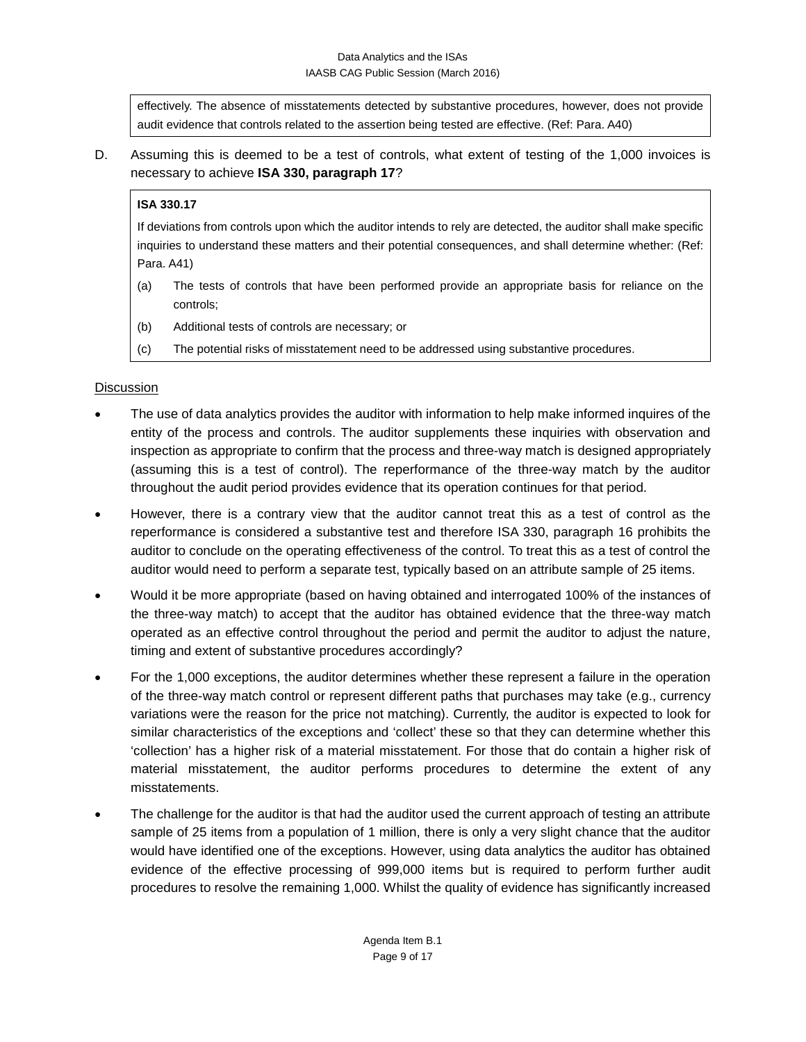effectively. The absence of misstatements detected by substantive procedures, however, does not provide audit evidence that controls related to the assertion being tested are effective. (Ref: Para. A40)

D. Assuming this is deemed to be a test of controls, what extent of testing of the 1,000 invoices is necessary to achieve **ISA 330, paragraph 17**?

# **ISA 330.17**

If deviations from controls upon which the auditor intends to rely are detected, the auditor shall make specific inquiries to understand these matters and their potential consequences, and shall determine whether: (Ref: Para. A41)

- (a) The tests of controls that have been performed provide an appropriate basis for reliance on the controls;
- (b) Additional tests of controls are necessary; or
- (c) The potential risks of misstatement need to be addressed using substantive procedures.

# **Discussion**

- The use of data analytics provides the auditor with information to help make informed inquires of the entity of the process and controls. The auditor supplements these inquiries with observation and inspection as appropriate to confirm that the process and three-way match is designed appropriately (assuming this is a test of control). The reperformance of the three-way match by the auditor throughout the audit period provides evidence that its operation continues for that period.
- However, there is a contrary view that the auditor cannot treat this as a test of control as the reperformance is considered a substantive test and therefore ISA 330, paragraph 16 prohibits the auditor to conclude on the operating effectiveness of the control. To treat this as a test of control the auditor would need to perform a separate test, typically based on an attribute sample of 25 items.
- Would it be more appropriate (based on having obtained and interrogated 100% of the instances of the three-way match) to accept that the auditor has obtained evidence that the three-way match operated as an effective control throughout the period and permit the auditor to adjust the nature, timing and extent of substantive procedures accordingly?
- For the 1,000 exceptions, the auditor determines whether these represent a failure in the operation of the three-way match control or represent different paths that purchases may take (e.g., currency variations were the reason for the price not matching). Currently, the auditor is expected to look for similar characteristics of the exceptions and 'collect' these so that they can determine whether this 'collection' has a higher risk of a material misstatement. For those that do contain a higher risk of material misstatement, the auditor performs procedures to determine the extent of any misstatements.
- The challenge for the auditor is that had the auditor used the current approach of testing an attribute sample of 25 items from a population of 1 million, there is only a very slight chance that the auditor would have identified one of the exceptions. However, using data analytics the auditor has obtained evidence of the effective processing of 999,000 items but is required to perform further audit procedures to resolve the remaining 1,000. Whilst the quality of evidence has significantly increased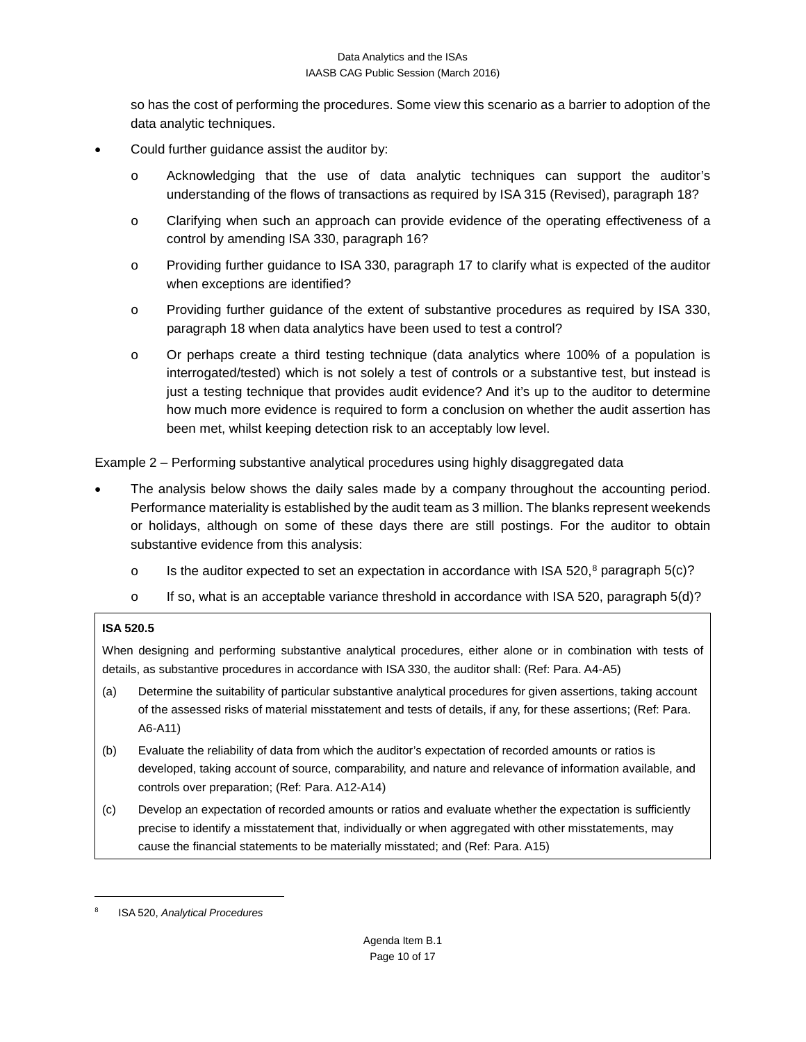so has the cost of performing the procedures. Some view this scenario as a barrier to adoption of the data analytic techniques.

- Could further guidance assist the auditor by:
	- o Acknowledging that the use of data analytic techniques can support the auditor's understanding of the flows of transactions as required by ISA 315 (Revised), paragraph 18?
	- o Clarifying when such an approach can provide evidence of the operating effectiveness of a control by amending ISA 330, paragraph 16?
	- o Providing further guidance to ISA 330, paragraph 17 to clarify what is expected of the auditor when exceptions are identified?
	- o Providing further guidance of the extent of substantive procedures as required by ISA 330, paragraph 18 when data analytics have been used to test a control?
	- o Or perhaps create a third testing technique (data analytics where 100% of a population is interrogated/tested) which is not solely a test of controls or a substantive test, but instead is just a testing technique that provides audit evidence? And it's up to the auditor to determine how much more evidence is required to form a conclusion on whether the audit assertion has been met, whilst keeping detection risk to an acceptably low level.

Example 2 – Performing substantive analytical procedures using highly disaggregated data

- The analysis below shows the daily sales made by a company throughout the accounting period. Performance materiality is established by the audit team as 3 million. The blanks represent weekends or holidays, although on some of these days there are still postings. For the auditor to obtain substantive evidence from this analysis:
	- o Is the auditor expected to set an expectation in accordance with ISA 520,<sup>[8](#page-9-0)</sup> paragraph 5(c)?
	- $\circ$  If so, what is an acceptable variance threshold in accordance with ISA 520, paragraph 5(d)?

#### **ISA 520.5**

When designing and performing substantive analytical procedures, either alone or in combination with tests of details, as substantive procedures in accordance with ISA 330, the auditor shall: (Ref: Para. A4-A5)

- (a) Determine the suitability of particular substantive analytical procedures for given assertions, taking account of the assessed risks of material misstatement and tests of details, if any, for these assertions; (Ref: Para. A6-A11)
- (b) Evaluate the reliability of data from which the auditor's expectation of recorded amounts or ratios is developed, taking account of source, comparability, and nature and relevance of information available, and controls over preparation; (Ref: Para. A12-A14)
- (c) Develop an expectation of recorded amounts or ratios and evaluate whether the expectation is sufficiently precise to identify a misstatement that, individually or when aggregated with other misstatements, may cause the financial statements to be materially misstated; and (Ref: Para. A15)

<span id="page-9-0"></span><sup>8</sup> ISA 520, *Analytical Procedures*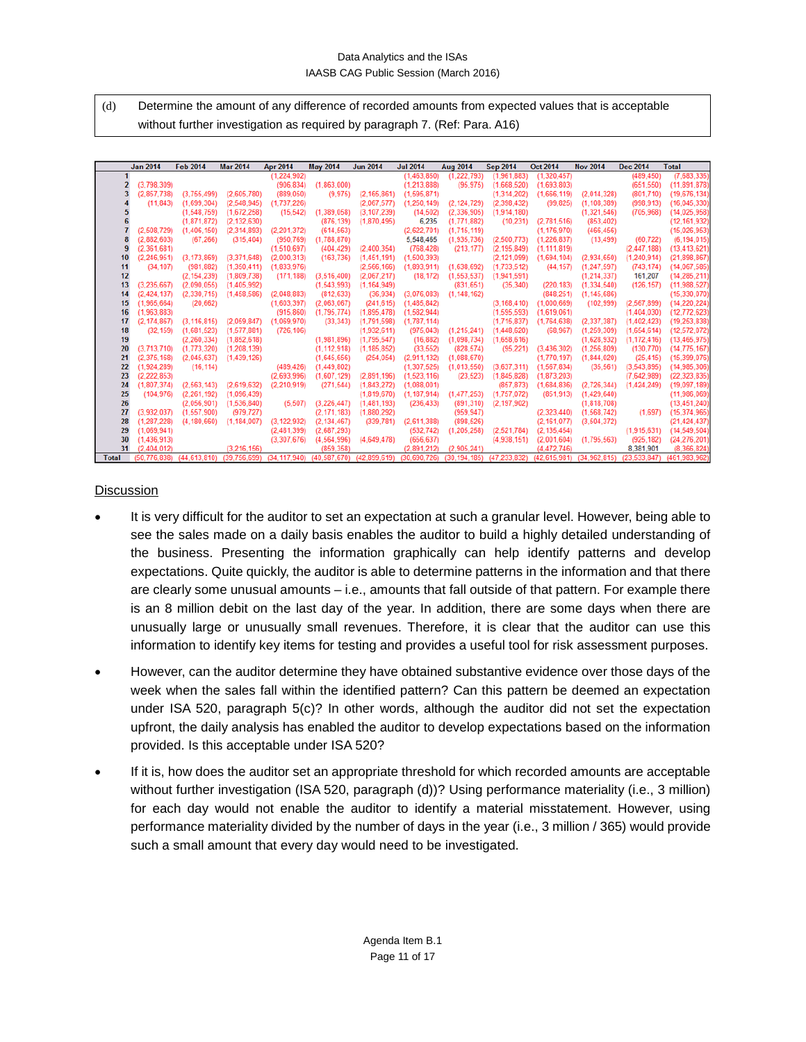(d) Determine the amount of any difference of recorded amounts from expected values that is acceptable without further investigation as required by paragraph 7. (Ref: Para. A16)

|              | <b>Jan 2014</b> | <b>Feb 2014</b>           | <b>Mar 2014</b>                   | Apr 2014                               | <b>May 2014</b>           | <b>Jun 2014</b> | <b>Jul 2014</b>           | <b>Aug 2014</b>             | <b>Sep 2014</b>                                                  | <b>Oct 2014</b> | <b>Nov 2014</b> | <b>Dec 2014</b>         | <b>Total</b>   |
|--------------|-----------------|---------------------------|-----------------------------------|----------------------------------------|---------------------------|-----------------|---------------------------|-----------------------------|------------------------------------------------------------------|-----------------|-----------------|-------------------------|----------------|
|              |                 |                           |                                   | (1,224,902)                            |                           |                 | (1,463,850)               | (1,222,793)                 | (1.961.883)                                                      | (1,320,457)     |                 | (489, 450)              | (7,683,335)    |
|              | (3.798.309)     |                           |                                   |                                        | $(906.834)$ $(1.863.000)$ |                 | (1.213.888)               | (95.975)                    | (1,668,520)                                                      | (1,693,803)     |                 | (651.550)               | (11, 891, 878) |
|              | (2.857.738)     | (3,755,499)               | (2,605,780)                       | (889, 050)                             | (9.975)                   | (2.165.861)     | (1, 595, 871)             |                             | (1,314,202)                                                      | (1,666,119)     | (2.014.328)     | (801.710)               | (19, 676, 134) |
|              | (11.843)        | (1,699,304)               | (2.548.945)                       | (1.737.226)                            |                           | (2.067.577)     | (1.250.149)               | (2.124.729)                 | (2,398,432)                                                      | (99.825)        | (1.108.389)     | (998.913)               | (16,045,330)   |
|              |                 | (1,548,759)               | (1,672,258)                       | (15, 542)                              | (1,389,058)               | (3, 107, 239)   | (14, 502)                 | (2,336,905)                 | (1,914,180)                                                      |                 | (1,321,546)     | (705.968)               | (14, 025, 958) |
|              |                 | (1.871.872)               | (2.132.630)                       |                                        | (876.139)                 | (1,870,495)     | 6,235                     | (1,771,882)                 | (10.231)                                                         | (2.781.516)     | (853, 402)      |                         | (12, 161, 932) |
|              | (2.508.729)     | (1.406.150)               | (2.314.893)                       | (2.201.372)                            | (614, 563)                |                 | (2,622,701)               | (1,715,119)                 |                                                                  | (1, 176, 970)   | (466, 456)      |                         | (15,026,953)   |
| 8            | (2,882,603)     | (67, 266)                 | (315, 404)                        | (950,769)                              | (1,788,870)               |                 | 5,548,465                 | (1,935,736)                 | (2,500,773)                                                      | (1, 226, 837)   | (13, 499)       | (60, 722)               | (6, 194, 015)  |
| 9            | (2.361.681)     |                           |                                   | (1.510.697)                            | (404, 429)                | (2,400,354)     | (768, 428)                | (213, 177)                  | (2.195.849)                                                      | (1, 111, 819)   |                 | (2, 447, 188)           | (13, 413, 621) |
| 10           | (2, 246, 951)   | (3, 173, 869)             | (3,371,648)                       | (2,000,313)                            | (163, 736)                | (1,451,191)     | (1,500,393)               |                             | (2, 121, 099)                                                    | (1,694,104)     | (2,934,650)     | (1,240,914)             | (21, 898, 867) |
| 11           | (34.107)        | (981, 882)                | (1.350.411)                       | (1,833,976)                            |                           | (2.566, 166)    | (1,893,911)               | (1,638,692)                 | (1.733.512)                                                      | (44, 157)       | (1.247.597)     | (743, 174)              | (14.067.585)   |
| 12           |                 | (2, 154, 239)             | (1.809.738)                       | (171, 188)                             | (3,516,400)               | (2,067,217)     | (18, 172)                 | (1, 553, 537)               | (1,941,591)                                                      |                 | (1.214.337)     | 161,207                 | (14, 285, 211) |
| 13           | (3, 235, 667)   | (2,090,055)               | (1,405,992)                       |                                        | (1,543,993)               | (1, 164, 949)   |                           | (831, 651)                  | (35, 340)                                                        | (220, 183)      | (1,334,540)     | (126, 157)              | (11, 988, 527) |
| 14           | (2.424.137)     | (2,330,715)               | (1,458,586)                       |                                        | $(2,048,883)$ $(812,633)$ | (36, 934)       |                           | $(3,076,083)$ $(1,148,162)$ |                                                                  | (848, 251)      | (1, 145, 686)   |                         | (15, 330, 070) |
| 15           | (1,965,664)     | (20, 662)                 |                                   | (1,603,397)                            | (2,063,067)               | (241, 615)      | (1,485,842)               |                             | (3, 168, 410)                                                    | (1,000,669)     | (102, 999)      | (2, 567, 899)           | (14, 220, 224) |
| 16           | (1,963,883)     |                           |                                   | (915, 860)                             | (1,795,774)               | (1,895,478)     | (1,582,944)               |                             | (1.595.593)                                                      | (1,619,061)     |                 | (1,404,030)             | (12, 772, 623) |
| 17           | (2.174.867)     | (3, 116, 815)             | (2,059,847)                       | (1,069,970)                            | (33, 343)                 | (1,791,598)     | (1,787,114)               |                             | (1,715,837)                                                      | (1,764,638)     | (2, 337, 387)   | (1,402,423)             | (19, 253, 838) |
| 18           | (32, 159)       | (1,681,523)               | (1, 577, 881)                     | (726,106)                              |                           | (1,932,611)     | (975, 043)                | (1,215,241)                 | (1,448,620)                                                      | (68, 967)       | (1, 259, 309)   | (1,654,614)             | (12.572.072)   |
| 19           |                 | (2, 260, 334)             | (1,852,618)                       |                                        | (1,981,896)               | (1,795,547)     | (16, 882)                 | (1,098,734)                 | (1,658,616)                                                      |                 | (1,628,932)     | (1, 172, 416)           | (13, 465, 975) |
| 20           | (3.713.710)     | (1,773,320)               | (1, 208, 139)                     |                                        | (1.112.918)               | (1, 185, 852)   | (33, 552)                 | (828, 574)                  | (95, 221)                                                        | (3,436,302)     | (1.256.809)     | (130.770)               | (14.775.167)   |
| 21           | (2.375.168)     | (2,045,637)               | (1,439,126)                       |                                        | (1,645,656)               | (254, 054)      | (2,911,132)               | (1,088,670)                 |                                                                  | (1,770,197)     | (1.844.020)     | (25, 415)               | (15, 399, 076) |
| 22           | (1.924.289)     |                           | (16,114) (489,426)<br>(2,693,996) |                                        | (1,449,802)               |                 | (1, 307, 525)             | (1,013,550)                 | (3.637.311)                                                      | (1, 567, 834)   | (35, 561)       | (3, 543, 895)           | (14.985.306)   |
| 23           | (2.222.853)     |                           |                                   |                                        | (1.607.129)               | (2.891.196)     | (1.523, 116)              | (23.523)                    | (1.845.828)                                                      | (1.873.203)     |                 | (7.642.989)             | (22, 323, 835) |
| 24           | (1.807.374)     | (2, 563, 143)             |                                   | $(2,619,632)$ $(2,210,919)$            | (271.544)                 | (1,843,272)     | (1,088,001)               |                             | (857.873)                                                        | (1,684,836)     | (2,726,344)     | (1,424,249)             | (19,097,189)   |
| 25           | (104.976)       | (2.261.192)               | (1.096.439)                       |                                        |                           | (1.819.670)     | (1.187.914)               | (1,477,253)                 | (1.757.072)                                                      | (851.913)       | (1,429,640)     |                         | (11.986.069)   |
| 26           |                 | (2.056, 901)              | (1, 536, 840)                     |                                        | $(5,507)$ $(3,226,447)$   | (1,481,193)     | (236, 433)                | (891, 310)                  | (2, 197, 902)                                                    |                 | (1,818,708)     |                         | (13, 451, 240) |
| 27           | (3.932.037)     | (1, 557, 900)             | (979.727)                         |                                        | (2.171.183)               | (1,880,292)     |                           | (959, 947)                  |                                                                  | (2,323,440)     |                 | $(1,568,742)$ $(1,697)$ | (15, 374, 965) |
| 28           | (1, 287, 228)   | (4, 180, 660)             | (1, 184, 007)                     | (3, 122, 932)                          | (2.134.467)               | (339, 781)      | (2.611.388)               | (898, 526)                  |                                                                  | (2, 161, 077)   | (3, 504, 372)   |                         | (21, 424, 437) |
| 29           | (1,069,941)     |                           |                                   | (2,481,399)                            | (2,687,293)               |                 | (532, 742)                |                             | $(1,205,258)$ $(2,521,784)$                                      | (2, 135, 454)   |                 | (1,915,631)             | (14, 549, 504) |
| 30           | (1,436,913)     |                           |                                   | (3.307.676)                            | (4.564.996)               | (4,649,478)     | (656.637)                 |                             | (4,938,151)                                                      | (2.001.604)     | (1.795.563)     | (925.182)               | (24, 276, 201) |
| 31           | (2,404,012)     |                           | (3.216.156)                       |                                        | (859, 358)                |                 | (2,891,212)               | (2.905.241)                 |                                                                  | (4, 472, 746)   |                 | 8,381,901               | (8,366,824)    |
| <b>Total</b> |                 | (50.776.838) (44.613.810) |                                   | (39.756.699) (34.117.940) (40.587.670) |                           |                 | (42.899.619) (30.690.726) |                             | (30.194.185) (47.233.832) (42.615.981) (34.962.815) (23.533.847) |                 |                 |                         | (461,983,962)  |

### **Discussion**

- It is very difficult for the auditor to set an expectation at such a granular level. However, being able to see the sales made on a daily basis enables the auditor to build a highly detailed understanding of the business. Presenting the information graphically can help identify patterns and develop expectations. Quite quickly, the auditor is able to determine patterns in the information and that there are clearly some unusual amounts – i.e., amounts that fall outside of that pattern. For example there is an 8 million debit on the last day of the year. In addition, there are some days when there are unusually large or unusually small revenues. Therefore, it is clear that the auditor can use this information to identify key items for testing and provides a useful tool for risk assessment purposes.
- However, can the auditor determine they have obtained substantive evidence over those days of the week when the sales fall within the identified pattern? Can this pattern be deemed an expectation under ISA 520, paragraph 5(c)? In other words, although the auditor did not set the expectation upfront, the daily analysis has enabled the auditor to develop expectations based on the information provided. Is this acceptable under ISA 520?
- If it is, how does the auditor set an appropriate threshold for which recorded amounts are acceptable without further investigation (ISA 520, paragraph (d))? Using performance materiality (i.e., 3 million) for each day would not enable the auditor to identify a material misstatement. However, using performance materiality divided by the number of days in the year (i.e., 3 million / 365) would provide such a small amount that every day would need to be investigated.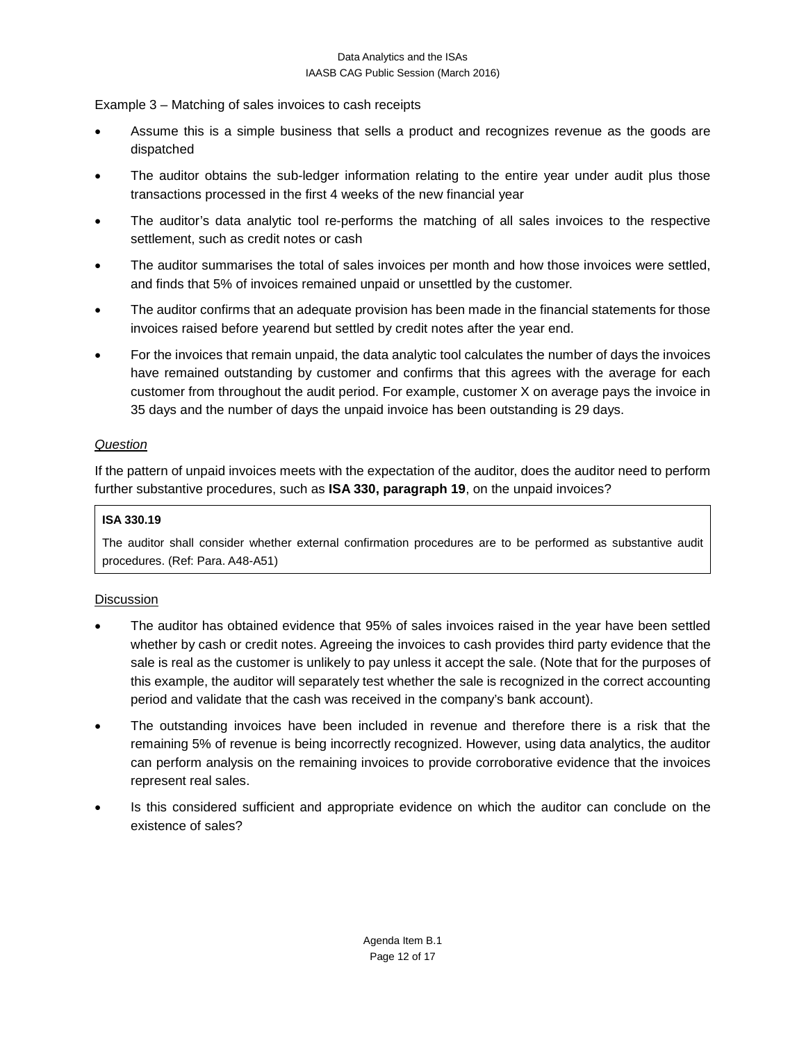Example 3 – Matching of sales invoices to cash receipts

- Assume this is a simple business that sells a product and recognizes revenue as the goods are dispatched
- The auditor obtains the sub-ledger information relating to the entire year under audit plus those transactions processed in the first 4 weeks of the new financial year
- The auditor's data analytic tool re-performs the matching of all sales invoices to the respective settlement, such as credit notes or cash
- The auditor summarises the total of sales invoices per month and how those invoices were settled, and finds that 5% of invoices remained unpaid or unsettled by the customer.
- The auditor confirms that an adequate provision has been made in the financial statements for those invoices raised before yearend but settled by credit notes after the year end.
- For the invoices that remain unpaid, the data analytic tool calculates the number of days the invoices have remained outstanding by customer and confirms that this agrees with the average for each customer from throughout the audit period. For example, customer X on average pays the invoice in 35 days and the number of days the unpaid invoice has been outstanding is 29 days.

# *Question*

If the pattern of unpaid invoices meets with the expectation of the auditor, does the auditor need to perform further substantive procedures, such as **ISA 330, paragraph 19**, on the unpaid invoices?

### **ISA 330.19**

The auditor shall consider whether external confirmation procedures are to be performed as substantive audit procedures. (Ref: Para. A48-A51)

# **Discussion**

- The auditor has obtained evidence that 95% of sales invoices raised in the year have been settled whether by cash or credit notes. Agreeing the invoices to cash provides third party evidence that the sale is real as the customer is unlikely to pay unless it accept the sale. (Note that for the purposes of this example, the auditor will separately test whether the sale is recognized in the correct accounting period and validate that the cash was received in the company's bank account).
- The outstanding invoices have been included in revenue and therefore there is a risk that the remaining 5% of revenue is being incorrectly recognized. However, using data analytics, the auditor can perform analysis on the remaining invoices to provide corroborative evidence that the invoices represent real sales.
- Is this considered sufficient and appropriate evidence on which the auditor can conclude on the existence of sales?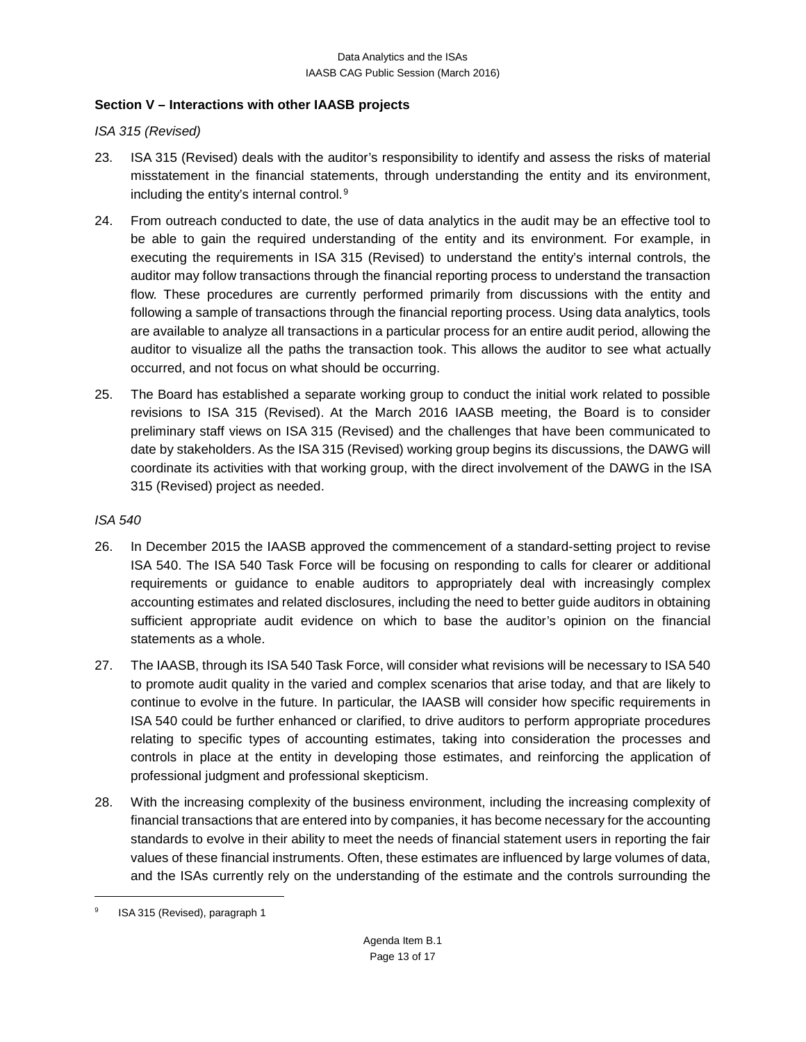## **Section V – Interactions with other IAASB projects**

*ISA 315 (Revised)*

- 23. ISA 315 (Revised) deals with the auditor's responsibility to identify and assess the risks of material misstatement in the financial statements, through understanding the entity and its environment, including the entity's internal control.[9](#page-12-0)
- 24. From outreach conducted to date, the use of data analytics in the audit may be an effective tool to be able to gain the required understanding of the entity and its environment. For example, in executing the requirements in ISA 315 (Revised) to understand the entity's internal controls, the auditor may follow transactions through the financial reporting process to understand the transaction flow. These procedures are currently performed primarily from discussions with the entity and following a sample of transactions through the financial reporting process. Using data analytics, tools are available to analyze all transactions in a particular process for an entire audit period, allowing the auditor to visualize all the paths the transaction took. This allows the auditor to see what actually occurred, and not focus on what should be occurring.
- 25. The Board has established a separate working group to conduct the initial work related to possible revisions to ISA 315 (Revised). At the March 2016 IAASB meeting, the Board is to consider preliminary staff views on ISA 315 (Revised) and the challenges that have been communicated to date by stakeholders. As the ISA 315 (Revised) working group begins its discussions, the DAWG will coordinate its activities with that working group, with the direct involvement of the DAWG in the ISA 315 (Revised) project as needed.

### *ISA 540*

- 26. In December 2015 the IAASB approved the commencement of a standard-setting project to revise ISA 540. The ISA 540 Task Force will be focusing on responding to calls for clearer or additional requirements or guidance to enable auditors to appropriately deal with increasingly complex accounting estimates and related disclosures, including the need to better guide auditors in obtaining sufficient appropriate audit evidence on which to base the auditor's opinion on the financial statements as a whole.
- 27. The IAASB, through its ISA 540 Task Force, will consider what revisions will be necessary to ISA 540 to promote audit quality in the varied and complex scenarios that arise today, and that are likely to continue to evolve in the future. In particular, the IAASB will consider how specific requirements in ISA 540 could be further enhanced or clarified, to drive auditors to perform appropriate procedures relating to specific types of accounting estimates, taking into consideration the processes and controls in place at the entity in developing those estimates, and reinforcing the application of professional judgment and professional skepticism.
- 28. With the increasing complexity of the business environment, including the increasing complexity of financial transactions that are entered into by companies, it has become necessary for the accounting standards to evolve in their ability to meet the needs of financial statement users in reporting the fair values of these financial instruments. Often, these estimates are influenced by large volumes of data, and the ISAs currently rely on the understanding of the estimate and the controls surrounding the

<span id="page-12-0"></span>ISA 315 (Revised), paragraph 1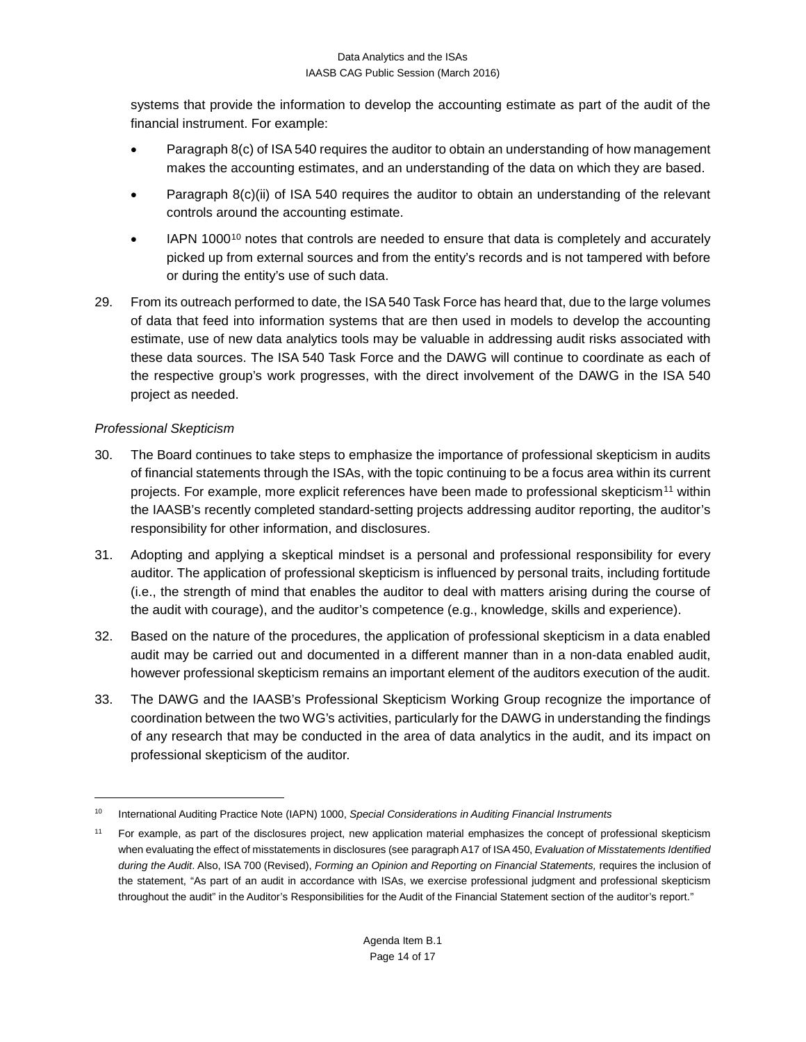systems that provide the information to develop the accounting estimate as part of the audit of the financial instrument. For example:

- Paragraph 8(c) of ISA 540 requires the auditor to obtain an understanding of how management makes the accounting estimates, and an understanding of the data on which they are based.
- Paragraph 8(c)(ii) of ISA 540 requires the auditor to obtain an understanding of the relevant controls around the accounting estimate.
- IAPN [10](#page-13-0)00<sup>10</sup> notes that controls are needed to ensure that data is completely and accurately picked up from external sources and from the entity's records and is not tampered with before or during the entity's use of such data.
- 29. From its outreach performed to date, the ISA 540 Task Force has heard that, due to the large volumes of data that feed into information systems that are then used in models to develop the accounting estimate, use of new data analytics tools may be valuable in addressing audit risks associated with these data sources. The ISA 540 Task Force and the DAWG will continue to coordinate as each of the respective group's work progresses, with the direct involvement of the DAWG in the ISA 540 project as needed.

# *Professional Skepticism*

- 30. The Board continues to take steps to emphasize the importance of professional skepticism in audits of financial statements through the ISAs, with the topic continuing to be a focus area within its current projects. For example, more explicit references have been made to professional skepticism<sup>[11](#page-13-1)</sup> within the IAASB's recently completed standard-setting projects addressing auditor reporting, the auditor's responsibility for other information, and disclosures.
- 31. Adopting and applying a skeptical mindset is a personal and professional responsibility for every auditor. The application of professional skepticism is influenced by personal traits, including fortitude (i.e., the strength of mind that enables the auditor to deal with matters arising during the course of the audit with courage), and the auditor's competence (e.g., knowledge, skills and experience).
- 32. Based on the nature of the procedures, the application of professional skepticism in a data enabled audit may be carried out and documented in a different manner than in a non-data enabled audit, however professional skepticism remains an important element of the auditors execution of the audit.
- 33. The DAWG and the IAASB's Professional Skepticism Working Group recognize the importance of coordination between the two WG's activities, particularly for the DAWG in understanding the findings of any research that may be conducted in the area of data analytics in the audit, and its impact on professional skepticism of the auditor.

<span id="page-13-0"></span><sup>10</sup> International Auditing Practice Note (IAPN) 1000, *Special Considerations in Auditing Financial Instruments*

<span id="page-13-1"></span><sup>&</sup>lt;sup>11</sup> For example, as part of the disclosures project, new application material emphasizes the concept of professional skepticism when evaluating the effect of misstatements in disclosures (see paragraph A17 of ISA 450, *Evaluation of Misstatements Identified during the Audit*. Also, ISA 700 (Revised), *Forming an Opinion and Reporting on Financial Statements,* requires the inclusion of the statement, "As part of an audit in accordance with ISAs, we exercise professional judgment and professional skepticism throughout the audit" in the Auditor's Responsibilities for the Audit of the Financial Statement section of the auditor's report."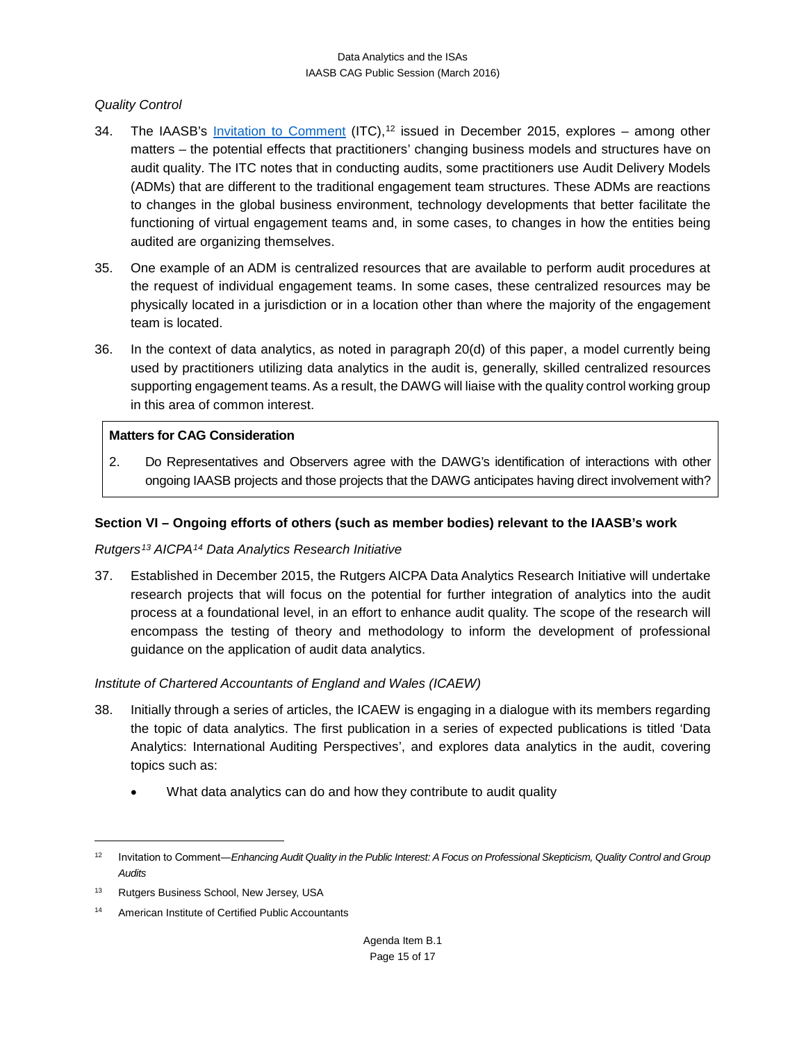## *Quality Control*

- 34. The IAASB's [Invitation to Comment](http://www.ifac.org/publications-resources/invitation-comment-enhancing-audit-quality-public-interest) (ITC),<sup>[12](#page-14-0)</sup> issued in December 2015, explores among other matters – the potential effects that practitioners' changing business models and structures have on audit quality. The ITC notes that in conducting audits, some practitioners use Audit Delivery Models (ADMs) that are different to the traditional engagement team structures. These ADMs are reactions to changes in the global business environment, technology developments that better facilitate the functioning of virtual engagement teams and, in some cases, to changes in how the entities being audited are organizing themselves.
- 35. One example of an ADM is centralized resources that are available to perform audit procedures at the request of individual engagement teams. In some cases, these centralized resources may be physically located in a jurisdiction or in a location other than where the majority of the engagement team is located.
- 36. In the context of data analytics, as noted in paragraph 20(d) of this paper, a model currently being used by practitioners utilizing data analytics in the audit is, generally, skilled centralized resources supporting engagement teams. As a result, the DAWG will liaise with the quality control working group in this area of common interest.

### **Matters for CAG Consideration**

2. Do Representatives and Observers agree with the DAWG's identification of interactions with other ongoing IAASB projects and those projects that the DAWG anticipates having direct involvement with?

### **Section VI – Ongoing efforts of others (such as member bodies) relevant to the IAASB's work**

# *Rutgers[13](#page-14-1) AICPA[14](#page-14-2) Data Analytics Research Initiative*

37. Established in December 2015, the Rutgers AICPA Data Analytics Research Initiative will undertake research projects that will focus on the potential for further integration of analytics into the audit process at a foundational level, in an effort to enhance audit quality. The scope of the research will encompass the testing of theory and methodology to inform the development of professional guidance on the application of audit data analytics.

# *Institute of Chartered Accountants of England and Wales (ICAEW)*

- 38. Initially through a series of articles, the ICAEW is engaging in a dialogue with its members regarding the topic of data analytics. The first publication in a series of expected publications is titled 'Data Analytics: International Auditing Perspectives', and explores data analytics in the audit, covering topics such as:
	- What data analytics can do and how they contribute to audit quality

<span id="page-14-0"></span><sup>&</sup>lt;sup>12</sup> Invitation to Comment—*Enhancing Audit Quality in the Public Interest: A Focus on Professional Skepticism, Quality Control and Group Audits*

<span id="page-14-1"></span><sup>&</sup>lt;sup>13</sup> Rutgers Business School, New Jersey, USA

<span id="page-14-2"></span><sup>14</sup> American Institute of Certified Public Accountants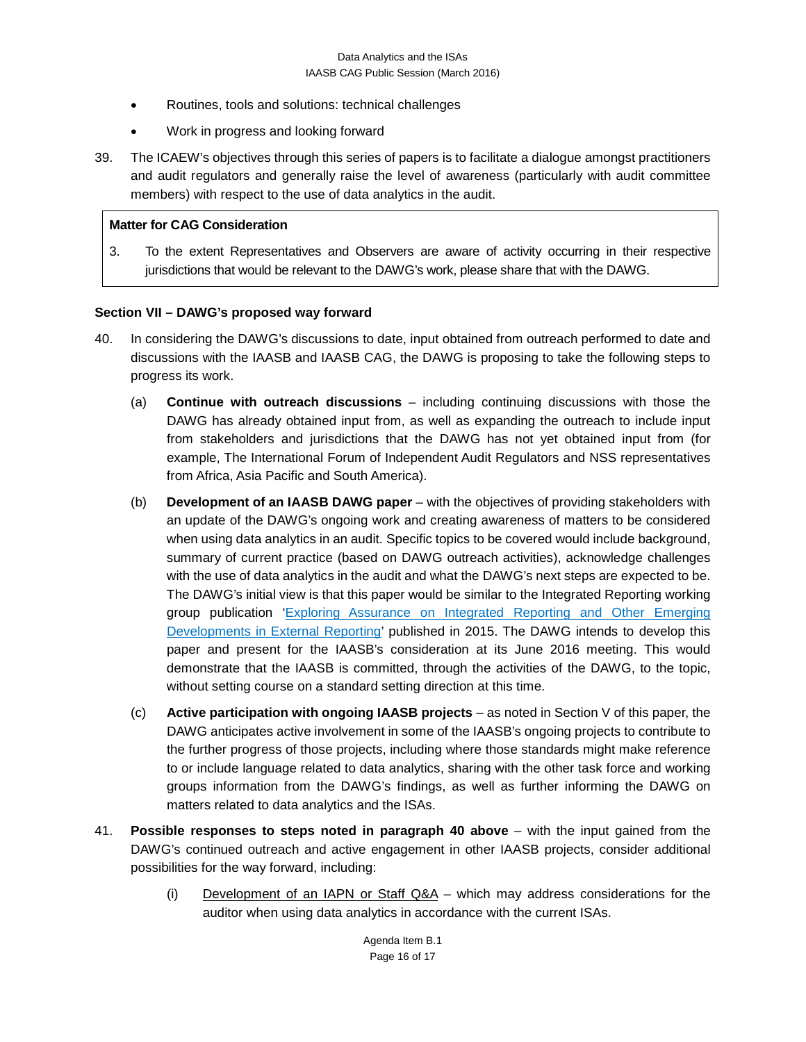- Routines, tools and solutions: technical challenges
- Work in progress and looking forward
- 39. The ICAEW's objectives through this series of papers is to facilitate a dialogue amongst practitioners and audit regulators and generally raise the level of awareness (particularly with audit committee members) with respect to the use of data analytics in the audit.

### **Matter for CAG Consideration**

3. To the extent Representatives and Observers are aware of activity occurring in their respective jurisdictions that would be relevant to the DAWG's work, please share that with the DAWG.

### **Section VII – DAWG's proposed way forward**

- 40. In considering the DAWG's discussions to date, input obtained from outreach performed to date and discussions with the IAASB and IAASB CAG, the DAWG is proposing to take the following steps to progress its work.
	- (a) **Continue with outreach discussions** including continuing discussions with those the DAWG has already obtained input from, as well as expanding the outreach to include input from stakeholders and jurisdictions that the DAWG has not yet obtained input from (for example, The International Forum of Independent Audit Regulators and NSS representatives from Africa, Asia Pacific and South America).
	- (b) **Development of an IAASB DAWG paper** with the objectives of providing stakeholders with an update of the DAWG's ongoing work and creating awareness of matters to be considered when using data analytics in an audit. Specific topics to be covered would include background, summary of current practice (based on DAWG outreach activities), acknowledge challenges with the use of data analytics in the audit and what the DAWG's next steps are expected to be. The DAWG's initial view is that this paper would be similar to the Integrated Reporting working group publication ['Exploring Assurance on Integrated Reporting and Other Emerging](http://www.iaasb.org/publications-resources/exploring-assurance-integrated-reporting-and-other-emerging-developments)  [Developments in External Reporting'](http://www.iaasb.org/publications-resources/exploring-assurance-integrated-reporting-and-other-emerging-developments) published in 2015. The DAWG intends to develop this paper and present for the IAASB's consideration at its June 2016 meeting. This would demonstrate that the IAASB is committed, through the activities of the DAWG, to the topic, without setting course on a standard setting direction at this time.
	- (c) **Active participation with ongoing IAASB projects** as noted in Section V of this paper, the DAWG anticipates active involvement in some of the IAASB's ongoing projects to contribute to the further progress of those projects, including where those standards might make reference to or include language related to data analytics, sharing with the other task force and working groups information from the DAWG's findings, as well as further informing the DAWG on matters related to data analytics and the ISAs.
- 41. **Possible responses to steps noted in paragraph 40 above** with the input gained from the DAWG's continued outreach and active engagement in other IAASB projects, consider additional possibilities for the way forward, including:
	- (i) Development of an IAPN or Staff Q&A which may address considerations for the auditor when using data analytics in accordance with the current ISAs.